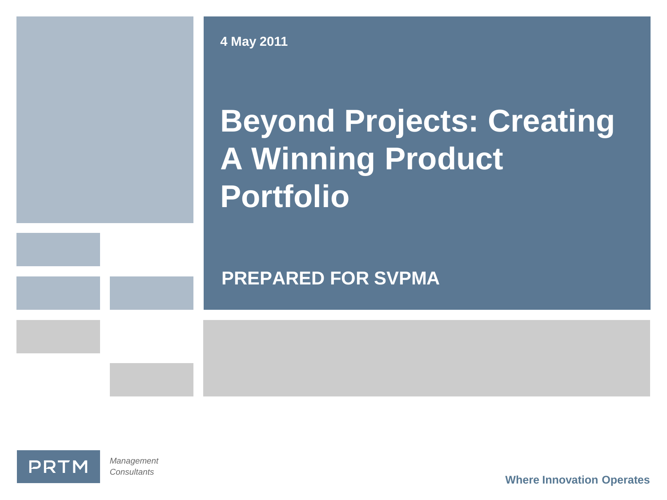**4 May 2011**

# **Beyond Projects: Creating A Winning Product Portfolio**

**PREPARED FOR SVPMA**



*Management Consultants*

**Where Innovation Operates**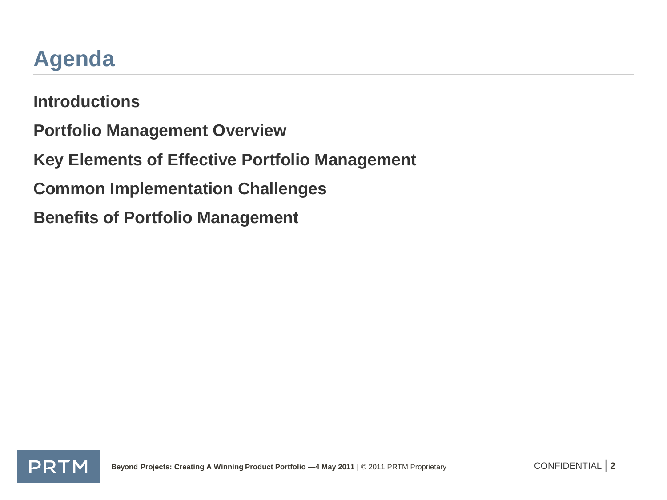### **Agenda**

**Introductions Portfolio Management Overview Key Elements of Effective Portfolio Management Common Implementation Challenges Benefits of Portfolio Management**

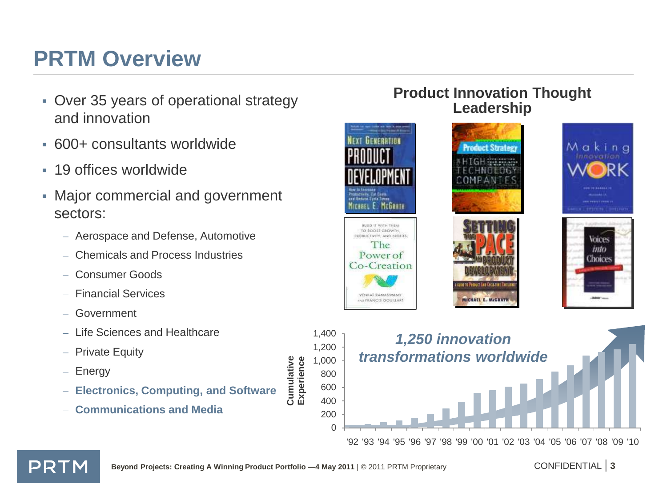### **PRTM Overview**

- Over 35 years of operational strategy and innovation
- 600+ consultants worldwide
- 19 offices worldwide
- Major commercial and government sectors:
	- Aerospace and Defense, Automotive
	- Chemicals and Process Industries
	- Consumer Goods
	- Financial Services
	- Government
	- Life Sciences and Healthcare
	- Private Equity
	- Energy

PRTM

- **Electronics, Computing, and Software**
- **Communications and Media**

#### **Product Innovation Thought Leadership**













**Cumulative Experience**

Cumulative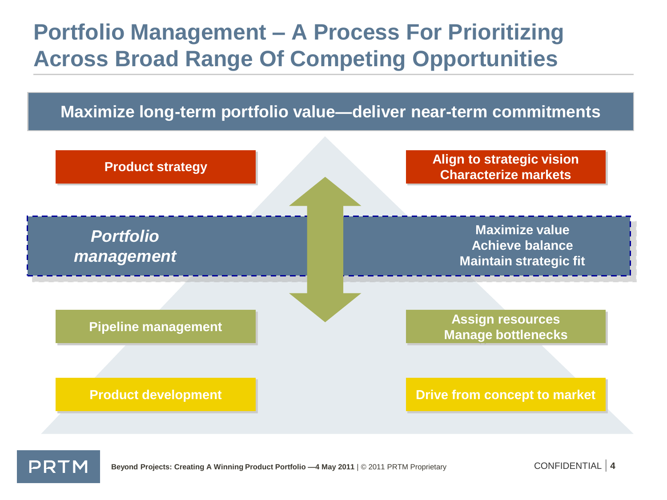### **Portfolio Management – A Process For Prioritizing Across Broad Range Of Competing Opportunities**

#### **Maximize long-term portfolio value—deliver near-term commitments**



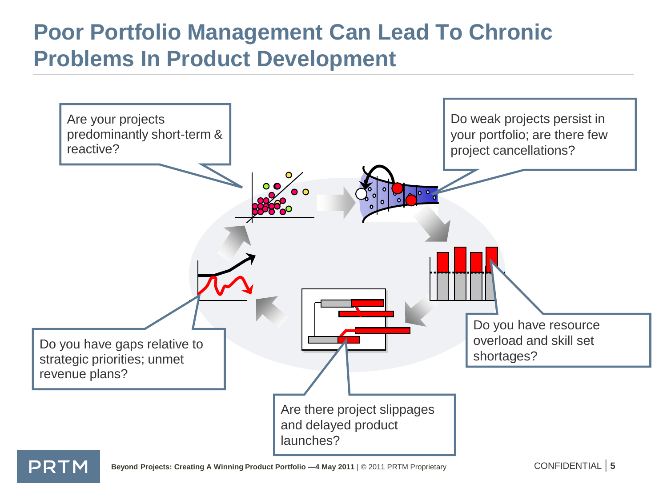#### **Poor Portfolio Management Can Lead To Chronic Problems In Product Development**

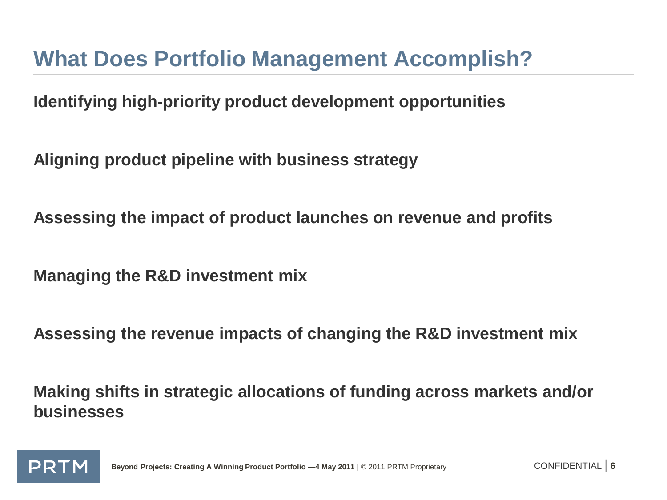#### **What Does Portfolio Management Accomplish?**

**Identifying high-priority product development opportunities**

**Aligning product pipeline with business strategy**

**Assessing the impact of product launches on revenue and profits**

**Managing the R&D investment mix**

**Assessing the revenue impacts of changing the R&D investment mix**

**Making shifts in strategic allocations of funding across markets and/or businesses**

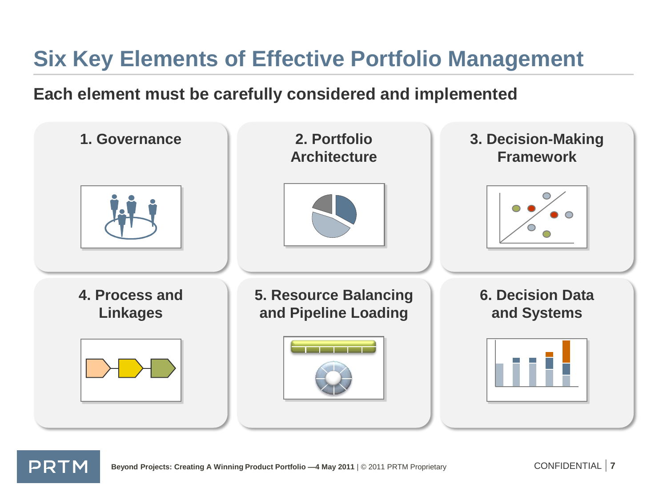# **Six Key Elements of Effective Portfolio Management**

**Each element must be carefully considered and implemented**



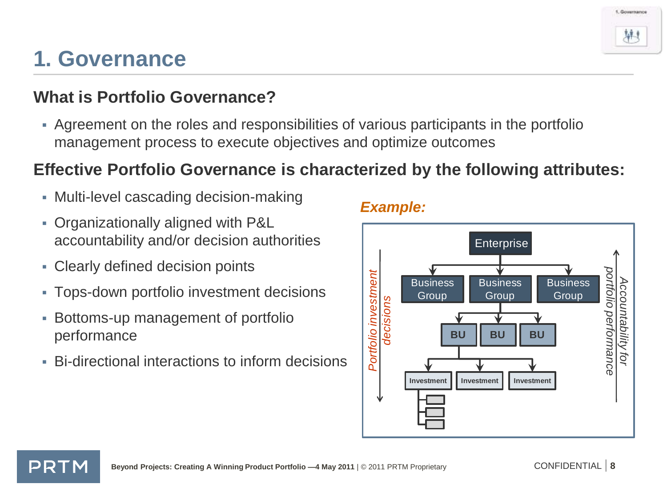PRTM **Beyond Projects: Creating A Winning Product Portfolio -4 May 2011** | © 2011 PRTM Proprietary CONFIDENTIAL | 8

# **1. Governance**

#### **What is Portfolio Governance?**

 Agreement on the roles and responsibilities of various participants in the portfolio management process to execute objectives and optimize outcomes

#### **Effective Portfolio Governance is characterized by the following attributes:**

- Multi-level cascading decision-making
- Organizationally aligned with P&L accountability and/or decision authorities
- Clearly defined decision points
- Tops-down portfolio investment decisions
- Bottoms-up management of portfolio performance
- Bi-directional interactions to inform decisions

#### *Example:*



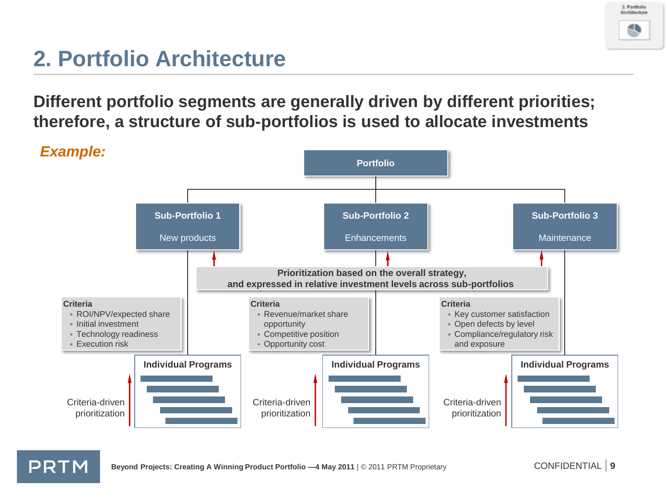

## **2. Portfolio Architecture**

**Different portfolio segments are generally driven by different priorities; therefore, a structure of sub-portfolios is used to allocate investments**

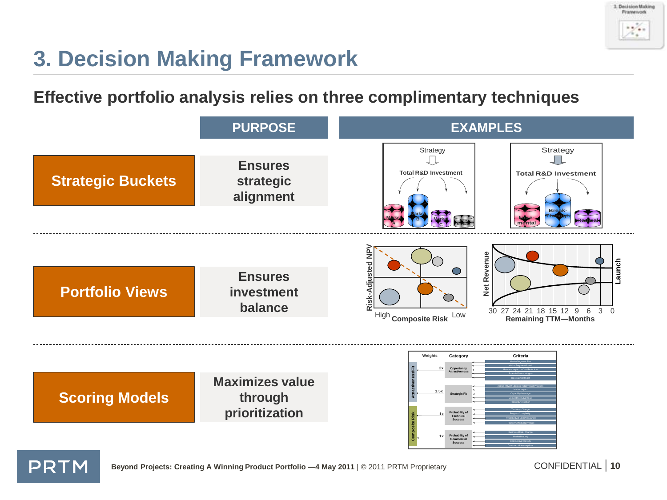

### **3. Decision Making Framework**

#### **Effective portfolio analysis relies on three complimentary techniques**

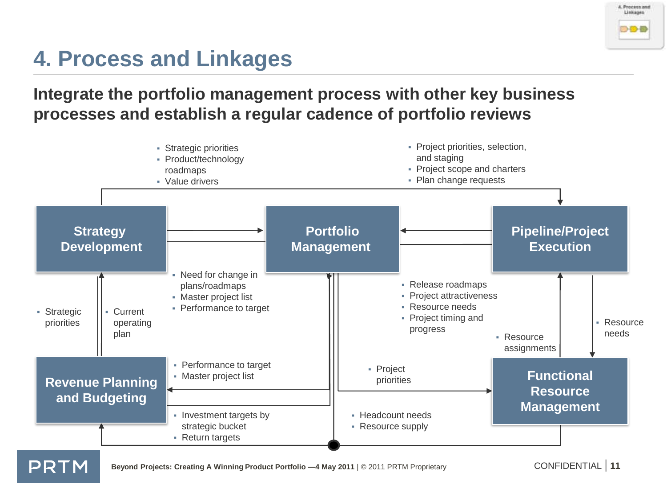

# **4. Process and Linkages**

**Integrate the portfolio management process with other key business processes and establish a regular cadence of portfolio reviews**

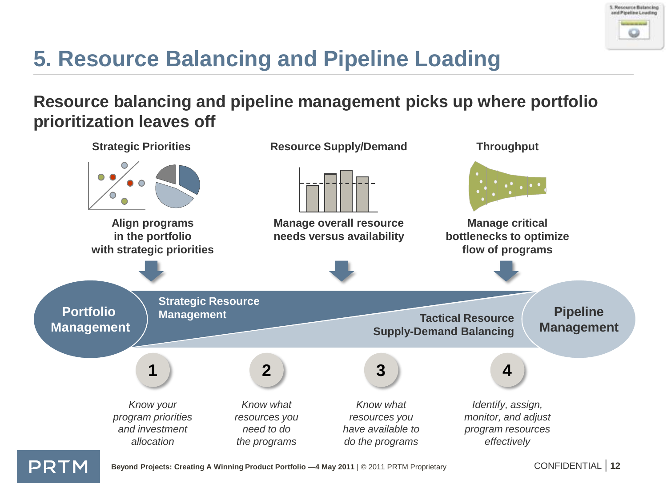

# **5. Resource Balancing and Pipeline Loading**

#### **Resource balancing and pipeline management picks up where portfolio prioritization leaves off**

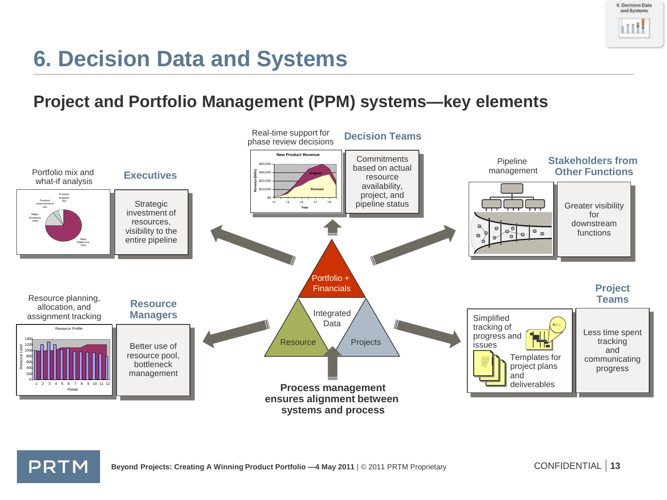

### **6. Decision Data and Systems**

#### **Project and Portfolio Management (PPM) systems—key elements**



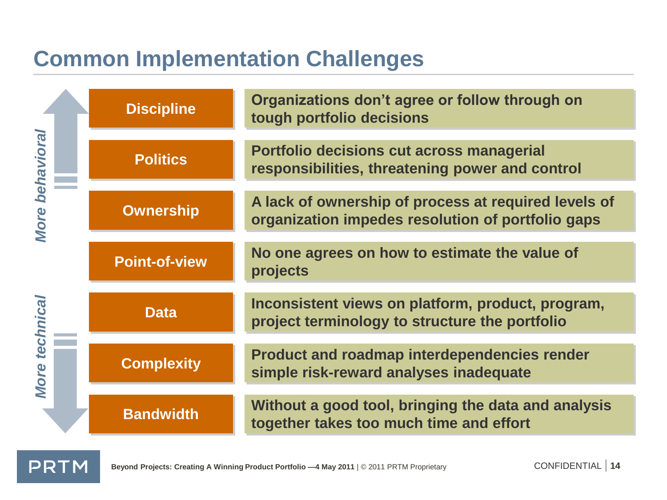### **Common Implementation Challenges**

| More behavioral<br>technical<br><b>More</b> | <b>Discipline</b>    | Organizations don't agree or follow through on<br>tough portfolio decisions                               |
|---------------------------------------------|----------------------|-----------------------------------------------------------------------------------------------------------|
|                                             | <b>Politics</b>      | Portfolio decisions cut across managerial<br>responsibilities, threatening power and control              |
|                                             | <b>Ownership</b>     | A lack of ownership of process at required levels of<br>organization impedes resolution of portfolio gaps |
|                                             | <b>Point-of-view</b> | No one agrees on how to estimate the value of<br>projects                                                 |
|                                             | <b>Data</b>          | Inconsistent views on platform, product, program,<br>project terminology to structure the portfolio       |
|                                             | <b>Complexity</b>    | <b>Product and roadmap interdependencies render</b><br>simple risk-reward analyses inadequate             |
|                                             | <b>Bandwidth</b>     | Without a good tool, bringing the data and analysis<br>together takes too much time and effort            |

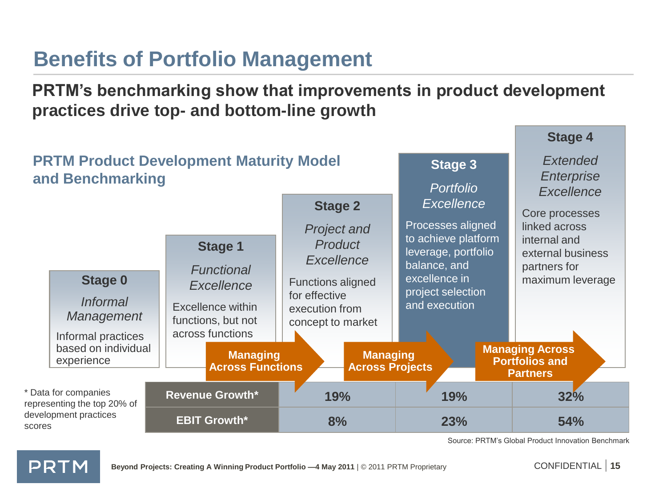#### **Benefits of Portfolio Management**

**PRTM's benchmarking show that improvements in product development practices drive top- and bottom-line growth**



Source: PRTM's Global Product Innovation Benchmark